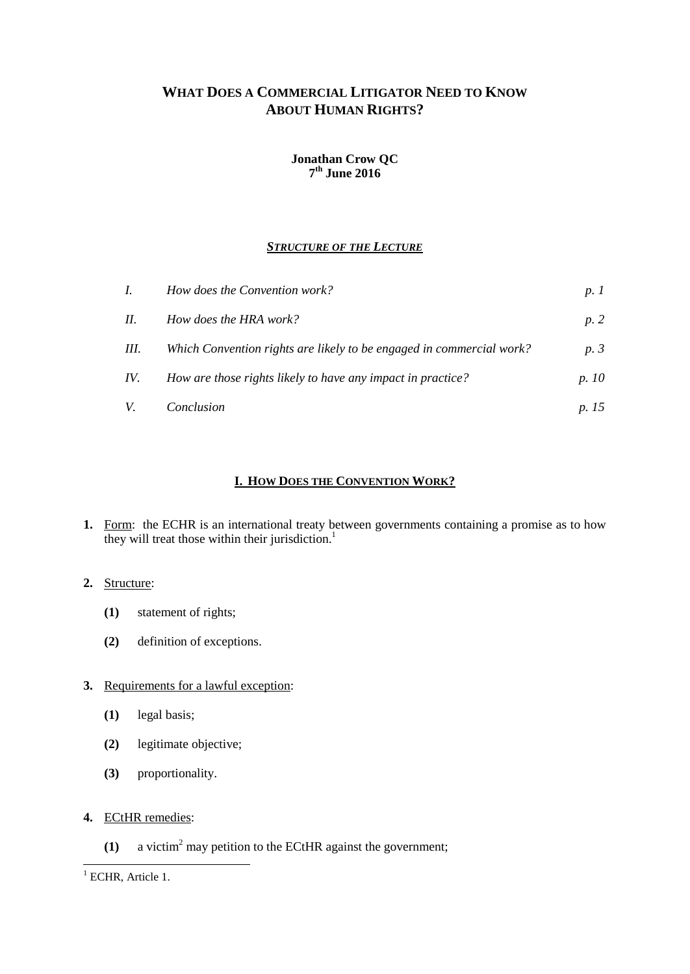# **WHAT DOES A COMMERCIAL LITIGATOR NEED TO KNOW ABOUT HUMAN RIGHTS?**

## **Jonathan Crow QC 7 th June 2016**

# *STRUCTURE OF THE LECTURE*

| $I_{\cdot}$ | How does the Convention work?                                        | p.1   |
|-------------|----------------------------------------------------------------------|-------|
| II.         | How does the HRA work?                                               | p.2   |
| III.        | Which Convention rights are likely to be engaged in commercial work? | p.3   |
| IV.         | How are those rights likely to have any impact in practice?          | p. 10 |
| V.          | Conclusion                                                           | p. 15 |

# **I. HOW DOES THE CONVENTION WORK?**

**1.** Form: the ECHR is an international treaty between governments containing a promise as to how they will treat those within their jurisdiction.<sup>1</sup>

# **2.** Structure:

- **(1)** statement of rights;
- **(2)** definition of exceptions.

# **3.** Requirements for a lawful exception:

- **(1)** legal basis;
- **(2)** legitimate objective;
- **(3)** proportionality.
- **4.** ECtHR remedies:
	- **(1)** a victim<sup>2</sup> may petition to the ECtHR against the government;

-

 $1$  ECHR, Article 1.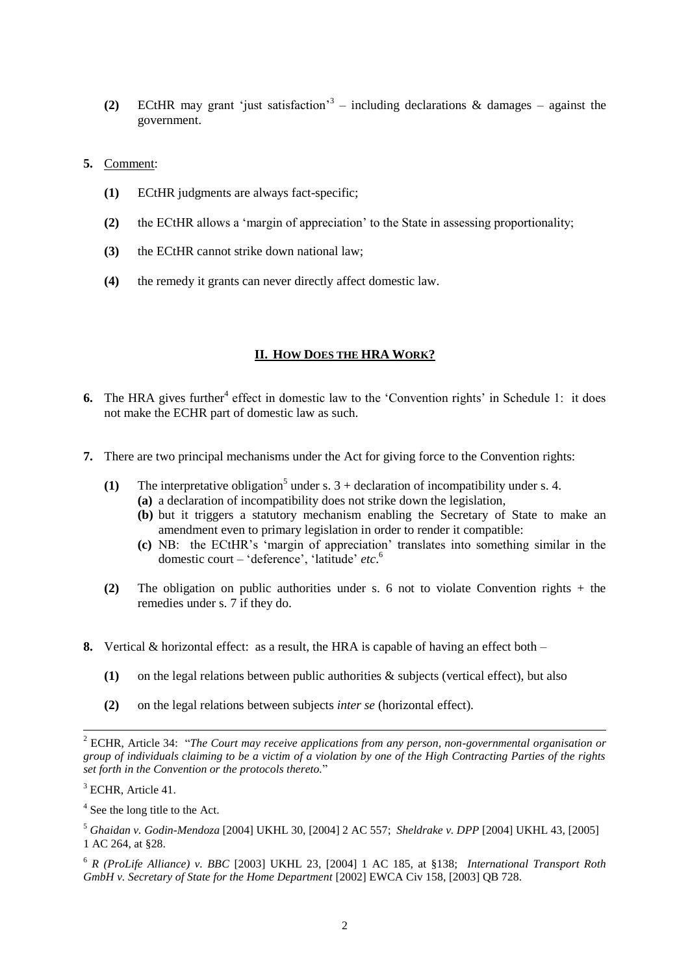- **(2)** ECtHR may grant 'just satisfaction'<sup>3</sup> including declarations & damages against the government.
- **5.** Comment:
	- **(1)** ECtHR judgments are always fact-specific;
	- **(2)** the ECtHR allows a 'margin of appreciation' to the State in assessing proportionality;
	- **(3)** the ECtHR cannot strike down national law;
	- **(4)** the remedy it grants can never directly affect domestic law.

#### **II. HOW DOES THE HRA WORK?**

- 6. The HRA gives further<sup>4</sup> effect in domestic law to the 'Convention rights' in Schedule 1: it does not make the ECHR part of domestic law as such.
- **7.** There are two principal mechanisms under the Act for giving force to the Convention rights:
	- (1) The interpretative obligation<sup>5</sup> under s.  $3 +$  declaration of incompatibility under s. 4. **(a)** a declaration of incompatibility does not strike down the legislation,
		- **(b)** but it triggers a statutory mechanism enabling the Secretary of State to make an amendment even to primary legislation in order to render it compatible:
		- **(c)** NB: the ECtHR's 'margin of appreciation' translates into something similar in the domestic court – 'deference', 'latitude' *etc*. 6
	- **(2)** The obligation on public authorities under s. 6 not to violate Convention rights + the remedies under s. 7 if they do.
- **8.** Vertical & horizontal effect: as a result, the HRA is capable of having an effect both
	- **(1)** on the legal relations between public authorities & subjects (vertical effect), but also
	- **(2)** on the legal relations between subjects *inter se* (horizontal effect).

<sup>2</sup> ECHR, Article 34: "*The Court may receive applications from any person, non-governmental organisation or group of individuals claiming to be a victim of a violation by one of the High Contracting Parties of the rights set forth in the Convention or the protocols thereto.*"

<sup>&</sup>lt;sup>3</sup> ECHR, Article 41.

<sup>&</sup>lt;sup>4</sup> See the long title to the Act.

<sup>5</sup> *Ghaidan v. Godin-Mendoza* [2004] UKHL 30, [2004] 2 AC 557; *Sheldrake v. DPP* [2004] UKHL 43, [2005] 1 AC 264, at §28.

<sup>6</sup> *R (ProLife Alliance) v. BBC* [2003] UKHL 23, [2004] 1 AC 185, at §138; *International Transport Roth GmbH v. Secretary of State for the Home Department* [2002] EWCA Civ 158, [2003] QB 728.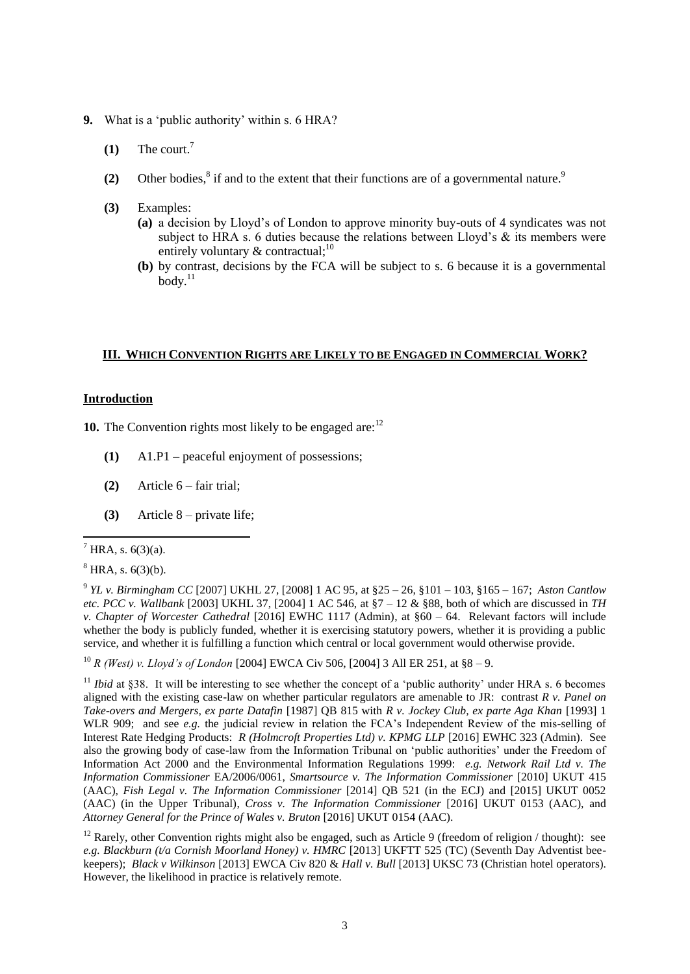- **9.** What is a 'public authority' within s. 6 HRA?
	- **(1)** The court.<sup>7</sup>
	- (2) Other bodies, ${}^{8}$  if and to the extent that their functions are of a governmental nature.<sup>9</sup>
	- **(3)** Examples:
		- **(a)** a decision by Lloyd's of London to approve minority buy-outs of 4 syndicates was not subject to HRA s. 6 duties because the relations between Lloyd's  $\&$  its members were entirely voluntary  $&$  contractual;<sup>10</sup>
		- **(b)** by contrast, decisions by the FCA will be subject to s. 6 because it is a governmental  $\text{body}$ <sup>11</sup>

#### **III. WHICH CONVENTION RIGHTS ARE LIKELY TO BE ENGAGED IN COMMERCIAL WORK?**

#### **Introduction**

**10.** The Convention rights most likely to be engaged are:<sup>12</sup>

- **(1)** A1.P1 peaceful enjoyment of possessions;
- **(2)** Article 6 fair trial;
- **(3)** Article 8 private life;

 $7$  HRA, s. 6(3)(a).

1

<sup>10</sup> *R (West) v. Lloyd's of London* [2004] EWCA Civ 506, [2004] 3 All ER 251, at §8 – 9.

<sup>11</sup> *Ibid* at §38. It will be interesting to see whether the concept of a 'public authority' under HRA s. 6 becomes aligned with the existing case-law on whether particular regulators are amenable to JR: contrast *R v. Panel on Take-overs and Mergers, ex parte Datafin* [1987] QB 815 with *R v. Jockey Club, ex parte Aga Khan* [1993] 1 WLR 909; and see *e.g.* the judicial review in relation the FCA's Independent Review of the mis-selling of Interest Rate Hedging Products: *R (Holmcroft Properties Ltd) v. KPMG LLP* [2016] EWHC 323 (Admin). See also the growing body of case-law from the Information Tribunal on 'public authorities' under the Freedom of Information Act 2000 and the Environmental Information Regulations 1999: *e.g. Network Rail Ltd v. The Information Commissioner* EA/2006/0061, *Smartsource v. The Information Commissioner* [2010] UKUT 415 (AAC), *Fish Legal v. The Information Commissioner* [2014] QB 521 (in the ECJ) and [2015] UKUT 0052 (AAC) (in the Upper Tribunal), *Cross v. The Information Commissioner* [2016] UKUT 0153 (AAC), and *Attorney General for the Prince of Wales v. Bruton* [2016] UKUT 0154 (AAC).

<sup>12</sup> Rarely, other Convention rights might also be engaged, such as Article 9 (freedom of religion / thought): see *e.g. Blackburn (t/a Cornish Moorland Honey) v. HMRC* [2013] UKFTT 525 (TC) (Seventh Day Adventist beekeepers); *Black v Wilkinson* [2013] EWCA Civ 820 & *Hall v. Bull* [2013] UKSC 73 (Christian hotel operators). However, the likelihood in practice is relatively remote.

 $8$  HRA, s.  $6(3)(b)$ .

<sup>9</sup> *YL v. Birmingham CC* [2007] UKHL 27, [2008] 1 AC 95, at §25 – 26, §101 – 103, §165 – 167; *Aston Cantlow etc. PCC v. Wallbank* [2003] UKHL 37, [2004] 1 AC 546, at §7 – 12 & §88, both of which are discussed in *TH v. Chapter of Worcester Cathedral* [2016] EWHC 1117 (Admin), at §60 – 64. Relevant factors will include whether the body is publicly funded, whether it is exercising statutory powers, whether it is providing a public service, and whether it is fulfilling a function which central or local government would otherwise provide.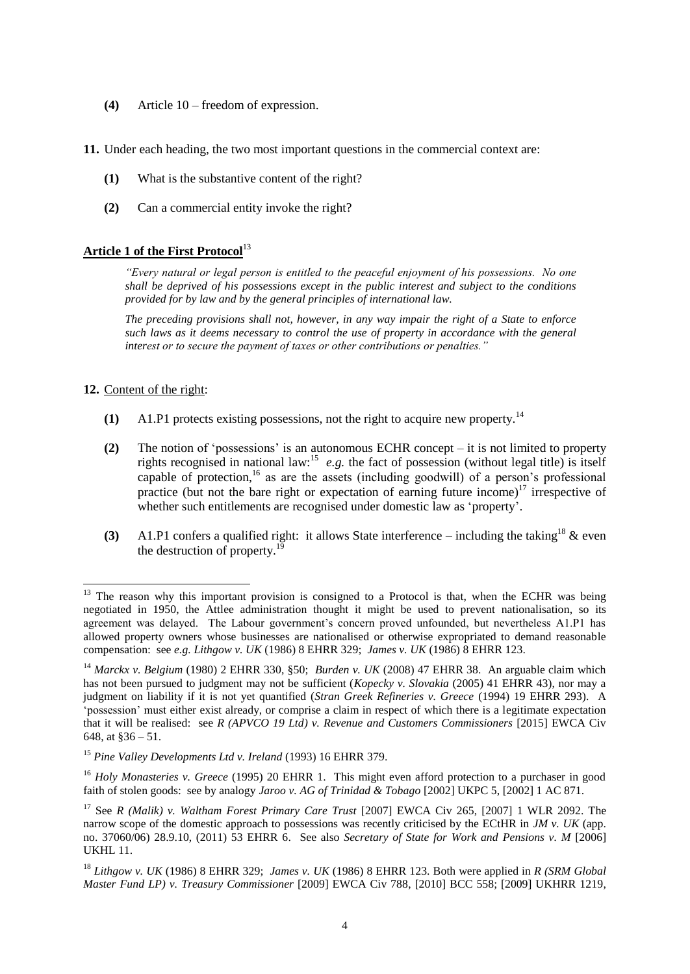- **(4)** Article 10 freedom of expression.
- **11.** Under each heading, the two most important questions in the commercial context are:
	- **(1)** What is the substantive content of the right?
	- **(2)** Can a commercial entity invoke the right?

# **Article 1 of the First Protocol**<sup>13</sup>

*"Every natural or legal person is entitled to the peaceful enjoyment of his possessions. No one shall be deprived of his possessions except in the public interest and subject to the conditions provided for by law and by the general principles of international law.*

*The preceding provisions shall not, however, in any way impair the right of a State to enforce such laws as it deems necessary to control the use of property in accordance with the general interest or to secure the payment of taxes or other contributions or penalties."*

### **12.** Content of the right:

- **(1)** A1.P1 protects existing possessions, not the right to acquire new property.<sup>14</sup>
- **(2)** The notion of 'possessions' is an autonomous ECHR concept it is not limited to property rights recognised in national law:<sup>15</sup> e.g. the fact of possession (without legal title) is itself capable of protection, <sup>16</sup> as are the assets (including goodwill) of a person's professional practice (but not the bare right or expectation of earning future income)<sup>17</sup> irrespective of whether such entitlements are recognised under domestic law as 'property'.
- **(3)** A1.P1 confers a qualified right: it allows State interference including the taking<sup>18</sup>  $\&$  even the destruction of property.<sup>19</sup>

 $13$  The reason why this important provision is consigned to a Protocol is that, when the ECHR was being negotiated in 1950, the Attlee administration thought it might be used to prevent nationalisation, so its agreement was delayed. The Labour government's concern proved unfounded, but nevertheless A1.P1 has allowed property owners whose businesses are nationalised or otherwise expropriated to demand reasonable compensation: see *e.g. Lithgow v. UK* (1986) 8 EHRR 329; *James v. UK* (1986) 8 EHRR 123.

<sup>14</sup> *Marckx v. Belgium* (1980) 2 EHRR 330, §50; *Burden v. UK* (2008) 47 EHRR 38. An arguable claim which has not been pursued to judgment may not be sufficient (*Kopecky v. Slovakia* (2005) 41 EHRR 43), nor may a judgment on liability if it is not yet quantified (*Stran Greek Refineries v. Greece* (1994) 19 EHRR 293). A 'possession' must either exist already, or comprise a claim in respect of which there is a legitimate expectation that it will be realised: see *R (APVCO 19 Ltd) v. Revenue and Customers Commissioners* [2015] EWCA Civ 648, at §36 – 51.

<sup>15</sup> *Pine Valley Developments Ltd v. Ireland* (1993) 16 EHRR 379.

<sup>&</sup>lt;sup>16</sup> *Holy Monasteries v. Greece* (1995) 20 EHRR 1. This might even afford protection to a purchaser in good faith of stolen goods: see by analogy *Jaroo v. AG of Trinidad & Tobago* [2002] UKPC 5, [2002] 1 AC 871.

<sup>17</sup> See *R (Malik) v. Waltham Forest Primary Care Trust* [2007] EWCA Civ 265, [2007] 1 WLR 2092. The narrow scope of the domestic approach to possessions was recently criticised by the ECtHR in *JM v. UK* (app. no. 37060/06) 28.9.10, (2011) 53 EHRR 6. See also *Secretary of State for Work and Pensions v. M* [2006] UKHL 11.

<sup>18</sup> *Lithgow v. UK* (1986) 8 EHRR 329; *James v. UK* (1986) 8 EHRR 123. Both were applied in *R (SRM Global Master Fund LP) v. Treasury Commissioner* [2009] EWCA Civ 788, [2010] BCC 558; [2009] UKHRR 1219,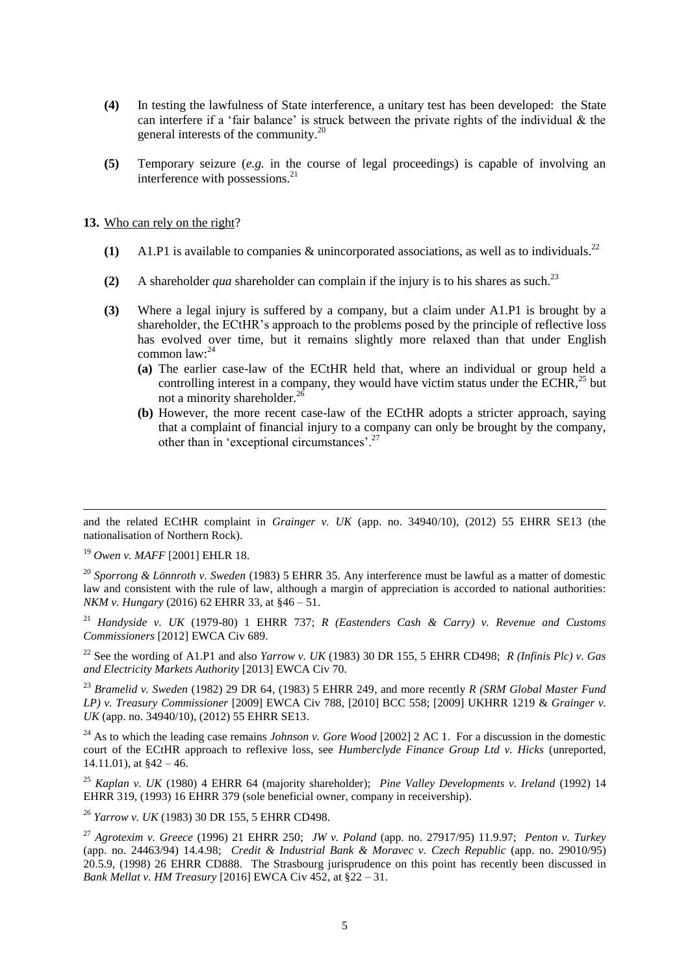- **(4)** In testing the lawfulness of State interference, a unitary test has been developed: the State can interfere if a 'fair balance' is struck between the private rights of the individual  $\&$  the general interests of the community.<sup>20</sup>
- **(5)** Temporary seizure (*e.g.* in the course of legal proceedings) is capable of involving an interference with possessions. $^{21}$

**13.** Who can rely on the right?

- **(1)** A1.P1 is available to companies & unincorporated associations, as well as to individuals. 22
- (2) A shareholder *qua* shareholder can complain if the injury is to his shares as such.<sup>23</sup>
- **(3)** Where a legal injury is suffered by a company, but a claim under A1.P1 is brought by a shareholder, the ECtHR's approach to the problems posed by the principle of reflective loss has evolved over time, but it remains slightly more relaxed than that under English common law: 24
	- **(a)** The earlier case-law of the ECtHR held that, where an individual or group held a controlling interest in a company, they would have victim status under the ECHR.<sup>25</sup> but not a minority shareholder.<sup>26</sup>
	- **(b)** However, the more recent case-law of the ECtHR adopts a stricter approach, saying that a complaint of financial injury to a company can only be brought by the company, other than in 'exceptional circumstances'.<sup>27</sup>

<sup>19</sup> *Owen v. MAFF* [2001] EHLR 18.

<sup>20</sup> *Sporrong & Lönnroth v. Sweden* (1983) 5 EHRR 35. Any interference must be lawful as a matter of domestic law and consistent with the rule of law, although a margin of appreciation is accorded to national authorities: *NKM v. Hungary* (2016) 62 EHRR 33, at §46 – 51.

<sup>21</sup> *Handyside v. UK* (1979-80) 1 EHRR 737; *R (Eastenders Cash & Carry) v. Revenue and Customs Commissioners* [2012] EWCA Civ 689.

<sup>22</sup> See the wording of A1.P1 and also *Yarrow v. UK* (1983) 30 DR 155, 5 EHRR CD498; *R (Infinis Plc) v. Gas and Electricity Markets Authority* [2013] EWCA Civ 70.

<sup>23</sup> *Bramelid v. Sweden* (1982) 29 DR 64, (1983) 5 EHRR 249, and more recently *R (SRM Global Master Fund LP) v. Treasury Commissioner* [2009] EWCA Civ 788, [2010] BCC 558; [2009] UKHRR 1219 & *Grainger v. UK* (app. no. 34940/10), (2012) 55 EHRR SE13.

<sup>24</sup> As to which the leading case remains *Johnson v. Gore Wood* [2002] 2 AC 1. For a discussion in the domestic court of the ECtHR approach to reflexive loss, see *Humberclyde Finance Group Ltd v. Hicks* (unreported, 14.11.01), at  $§42 - 46$ .

<sup>25</sup> *Kaplan v. UK* (1980) 4 EHRR 64 (majority shareholder); *Pine Valley Developments v. Ireland* (1992) 14 EHRR 319, (1993) 16 EHRR 379 (sole beneficial owner, company in receivership).

<sup>26</sup> *Yarrow v. UK* (1983) 30 DR 155, 5 EHRR CD498.

<sup>1</sup> and the related ECtHR complaint in *Grainger v. UK* (app. no. 34940/10), (2012) 55 EHRR SE13 (the nationalisation of Northern Rock).

<sup>27</sup> *Agrotexim v. Greece* (1996) 21 EHRR 250; *JW v. Poland* (app. no. 27917/95) 11.9.97; *Penton v. Turkey*  (app. no. 24463/94) 14.4.98; *Credit & Industrial Bank & Moravec v. Czech Republic* (app. no. 29010/95) 20.5.9, (1998) 26 EHRR CD888. The Strasbourg jurisprudence on this point has recently been discussed in *Bank Mellat v. HM Treasury* [2016] EWCA Civ 452, at §22 – 31.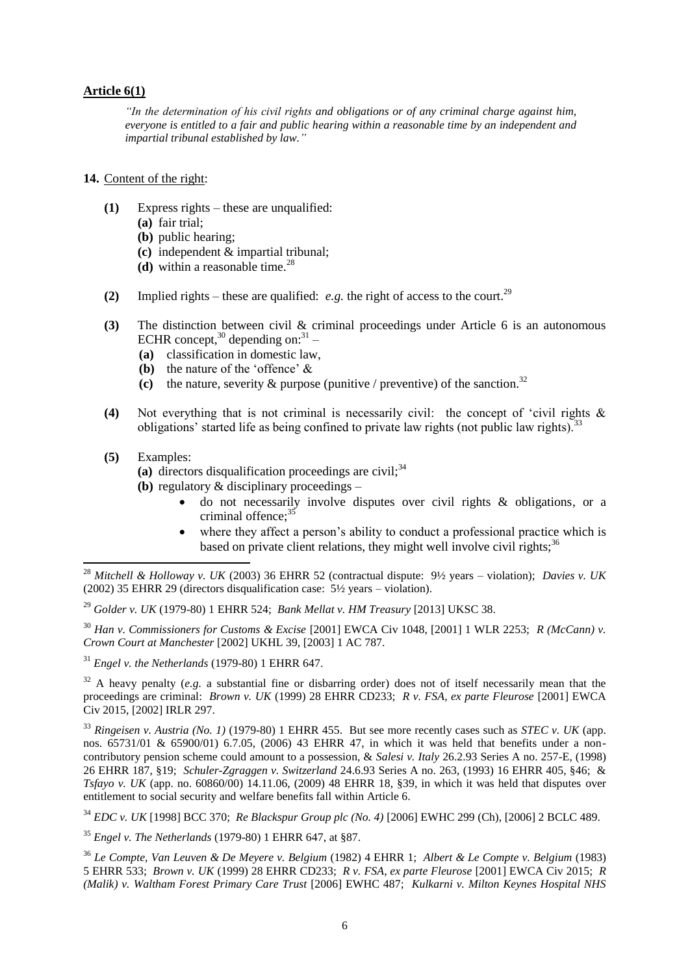### **Article 6(1)**

*"In the determination of his civil rights and obligations or of any criminal charge against him, everyone is entitled to a fair and public hearing within a reasonable time by an independent and impartial tribunal established by law."*

#### **14.** Content of the right:

- **(1)** Express rights these are unqualified:
	- **(a)** fair trial;
	- **(b)** public hearing;
	- **(c)** independent & impartial tribunal;
	- $(d)$  within a reasonable time.<sup>28</sup>
- **(2)** Implied rights these are qualified: *e.g.* the right of access to the court.<sup>29</sup>
- **(3)** The distinction between civil & criminal proceedings under Article 6 is an autonomous ECHR concept, $30$  depending on: $31$  –
	- **(a)** classification in domestic law,
	- **(b)** the nature of the 'offence' &
	- (c) the nature, severity  $\&$  purpose (punitive / preventive) of the sanction.<sup>32</sup>
- **(4)** Not everything that is not criminal is necessarily civil: the concept of 'civil rights & obligations' started life as being confined to private law rights (not public law rights).<sup>33</sup>
- **(5)** Examples:

1

- $(a)$  directors disqualification proceedings are civil;<sup>34</sup>
- **(b)** regulatory & disciplinary proceedings
	- do not necessarily involve disputes over civil rights & obligations, or a criminal offence:<sup>35</sup>
	- where they affect a person's ability to conduct a professional practice which is based on private client relations, they might well involve civil rights; $3<sup>3</sup>$

<sup>30</sup> *Han v. Commissioners for Customs & Excise* [2001] EWCA Civ 1048, [2001] 1 WLR 2253; *R (McCann) v. Crown Court at Manchester* [2002] UKHL 39, [2003] 1 AC 787.

<sup>31</sup> *Engel v. the Netherlands* (1979-80) 1 EHRR 647.

<sup>32</sup> A heavy penalty (*e.g.* a substantial fine or disbarring order) does not of itself necessarily mean that the proceedings are criminal: *Brown v. UK* (1999) 28 EHRR CD233; *R v. FSA, ex parte Fleurose* [2001] EWCA Civ 2015, [2002] IRLR 297.

<sup>33</sup> *Ringeisen v. Austria (No. 1)* (1979-80) 1 EHRR 455. But see more recently cases such as *STEC v. UK* (app. nos. 65731/01 & 65900/01) 6.7.05, (2006) 43 EHRR 47, in which it was held that benefits under a noncontributory pension scheme could amount to a possession, & *Salesi v. Italy* 26.2.93 Series A no. 257-E, (1998) 26 EHRR 187, §19; *Schuler-Zgraggen v. Switzerland* 24.6.93 Series A no. 263, (1993) 16 EHRR 405, §46; & *Tsfayo v. UK* (app. no. 60860/00) 14.11.06, (2009) 48 EHRR 18, §39, in which it was held that disputes over entitlement to social security and welfare benefits fall within Article 6.

<sup>34</sup> *EDC v. UK* [1998] BCC 370; *Re Blackspur Group plc (No. 4)* [2006] EWHC 299 (Ch), [2006] 2 BCLC 489.

<sup>35</sup> *Engel v. The Netherlands* (1979-80) 1 EHRR 647, at §87.

<sup>36</sup> *Le Compte, Van Leuven & De Meyere v. Belgium* (1982) 4 EHRR 1; *Albert & Le Compte v. Belgium* (1983) 5 EHRR 533; *Brown v. UK* (1999) 28 EHRR CD233; *R v. FSA, ex parte Fleurose* [2001] EWCA Civ 2015; *R (Malik) v. Waltham Forest Primary Care Trust* [2006] EWHC 487; *Kulkarni v. Milton Keynes Hospital NHS* 

<sup>28</sup> *Mitchell & Holloway v. UK* (2003) 36 EHRR 52 (contractual dispute: 9½ years – violation); *Davies v. UK*  (2002) 35 EHRR 29 (directors disqualification case: 5½ years – violation).

<sup>29</sup> *Golder v. UK* (1979-80) 1 EHRR 524; *Bank Mellat v. HM Treasury* [2013] UKSC 38.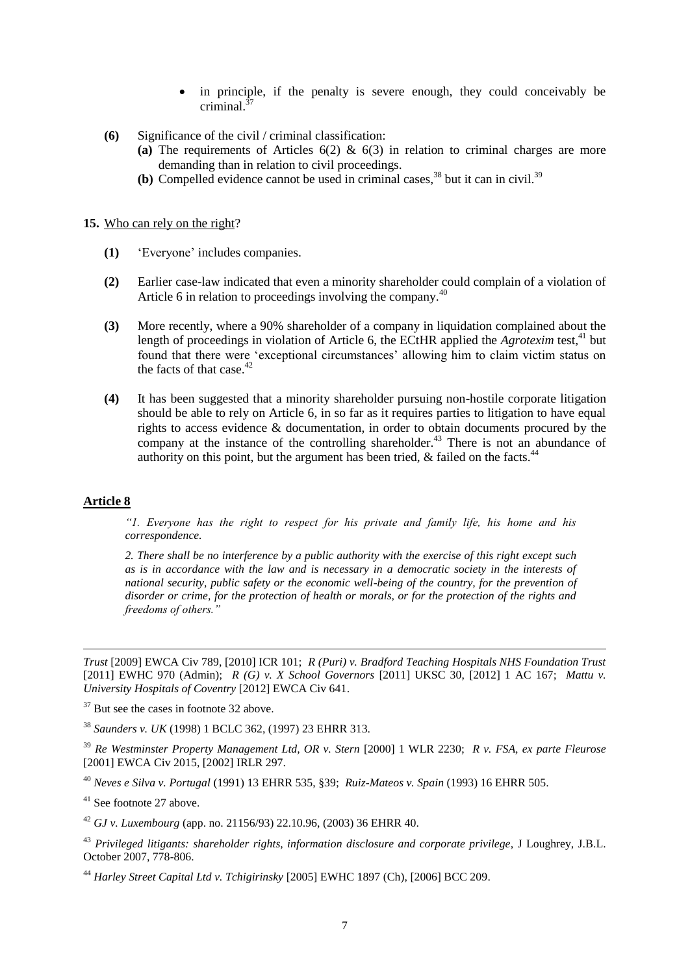- in principle, if the penalty is severe enough, they could conceivably be criminal $\frac{37}{2}$
- **(6)** Significance of the civil / criminal classification:
	- **(a)** The requirements of Articles 6(2) & 6(3) in relation to criminal charges are more demanding than in relation to civil proceedings.
	- **(b)** Compelled evidence cannot be used in criminal cases,<sup>38</sup> but it can in civil.<sup>39</sup>

#### **15.** Who can rely on the right?

- **(1)** 'Everyone' includes companies.
- **(2)** Earlier case-law indicated that even a minority shareholder could complain of a violation of Article 6 in relation to proceedings involving the company.<sup>40</sup>
- **(3)** More recently, where a 90% shareholder of a company in liquidation complained about the length of proceedings in violation of Article 6, the ECtHR applied the *Agrotexim* test,<sup>41</sup> but found that there were 'exceptional circumstances' allowing him to claim victim status on the facts of that case. $42$
- **(4)** It has been suggested that a minority shareholder pursuing non-hostile corporate litigation should be able to rely on Article 6, in so far as it requires parties to litigation to have equal rights to access evidence & documentation, in order to obtain documents procured by the company at the instance of the controlling shareholder.<sup>43</sup> There is not an abundance of authority on this point, but the argument has been tried,  $\&$  failed on the facts.<sup>44</sup>

#### **Article 8**

-

*"1. Everyone has the right to respect for his private and family life, his home and his correspondence.*

*2. There shall be no interference by a public authority with the exercise of this right except such as is in accordance with the law and is necessary in a democratic society in the interests of national security, public safety or the economic well-being of the country, for the prevention of disorder or crime, for the protection of health or morals, or for the protection of the rights and freedoms of others."*

*Trust* [2009] EWCA Civ 789, [2010] ICR 101; *R (Puri) v. Bradford Teaching Hospitals NHS Foundation Trust* [2011] EWHC 970 (Admin); *R (G) v. X School Governors* [2011] UKSC 30, [2012] 1 AC 167; *Mattu v. University Hospitals of Coventry* [2012] EWCA Civ 641.

 $37$  But see the cases in footnote 32 above.

<sup>38</sup> *Saunders v. UK* (1998) 1 BCLC 362, (1997) 23 EHRR 313.

<sup>39</sup> *Re Westminster Property Management Ltd, OR v. Stern* [2000] 1 WLR 2230; *R v. FSA, ex parte Fleurose* [2001] EWCA Civ 2015, [2002] IRLR 297.

<sup>40</sup> *Neves e Silva v. Portugal* (1991) 13 EHRR 535, §39; *Ruiz-Mateos v. Spain* (1993) 16 EHRR 505.

<sup>41</sup> See footnote 27 above.

<sup>42</sup> *GJ v. Luxembourg* (app. no. 21156/93) 22.10.96, (2003) 36 EHRR 40.

<sup>43</sup> *Privileged litigants: shareholder rights, information disclosure and corporate privilege*, J Loughrey, J.B.L. October 2007, 778-806.

<sup>44</sup> *Harley Street Capital Ltd v. Tchigirinsky* [2005] EWHC 1897 (Ch), [2006] BCC 209.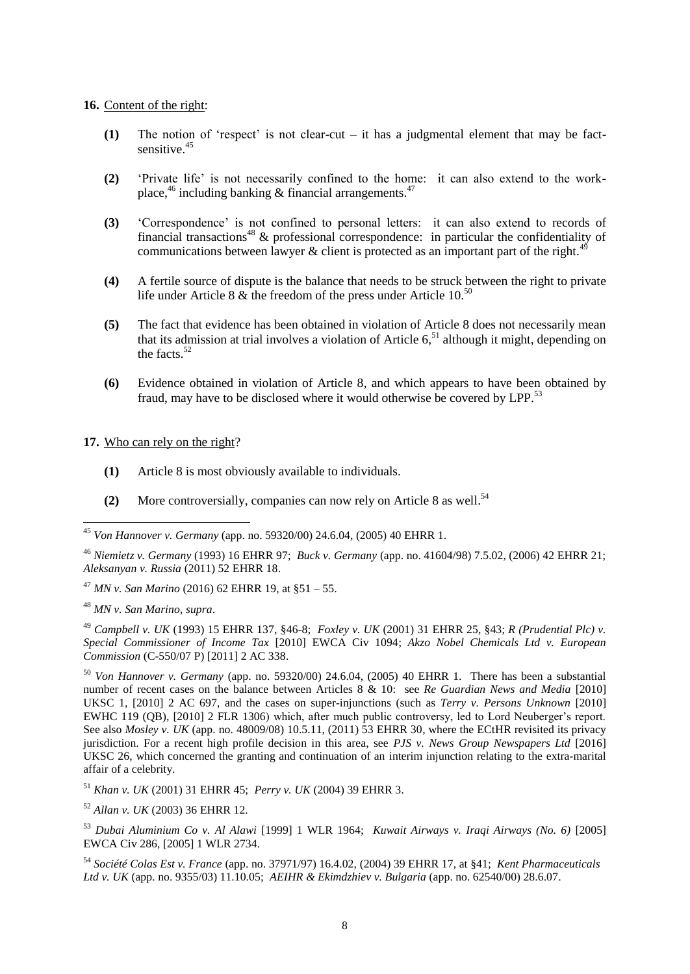#### **16.** Content of the right:

- **(1)** The notion of 'respect' is not clear-cut it has a judgmental element that may be factsensitive.<sup>45</sup>
- **(2)** 'Private life' is not necessarily confined to the home: it can also extend to the workplace,<sup>46</sup> including banking & financial arrangements.<sup>47</sup>
- **(3)** 'Correspondence' is not confined to personal letters: it can also extend to records of financial transactions<sup>48</sup>  $\&$  professional correspondence: in particular the confidentiality of communications between lawyer & client is protected as an important part of the right.<sup>49</sup>
- **(4)** A fertile source of dispute is the balance that needs to be struck between the right to private life under Article 8  $\&$  the freedom of the press under Article 10.<sup>50</sup>
- **(5)** The fact that evidence has been obtained in violation of Article 8 does not necessarily mean that its admission at trial involves a violation of Article  $6<sup>51</sup>$ , although it might, depending on the facts. $52$
- **(6)** Evidence obtained in violation of Article 8, and which appears to have been obtained by fraud, may have to be disclosed where it would otherwise be covered by LPP.<sup>53</sup>

**17.** Who can rely on the right?

- **(1)** Article 8 is most obviously available to individuals.
- **(2)** More controversially, companies can now rely on Article 8 as well. 54

<sup>47</sup> *MN v. San Marino* (2016) 62 EHRR 19, at §51 – 55.

<sup>48</sup> *MN v. San Marino*, *supra*.

<u>.</u>

<sup>49</sup> *Campbell v. UK* (1993) 15 EHRR 137, §46-8; *Foxley v. UK* (2001) 31 EHRR 25, §43; *R (Prudential Plc) v. Special Commissioner of Income Tax* [2010] EWCA Civ 1094; *Akzo Nobel Chemicals Ltd v. European Commission* (C-550/07 P) [2011] 2 AC 338.

<sup>50</sup> *Von Hannover v. Germany* (app. no. 59320/00) 24.6.04, (2005) 40 EHRR 1. There has been a substantial number of recent cases on the balance between Articles 8 & 10: see *Re Guardian News and Media* [2010] UKSC 1, [2010] 2 AC 697, and the cases on super-injunctions (such as *Terry v. Persons Unknown* [2010] EWHC 119 (QB), [2010] 2 FLR 1306) which, after much public controversy, led to Lord Neuberger's report. See also *Mosley v. UK* (app. no. 48009/08) 10.5.11, (2011) 53 EHRR 30, where the ECtHR revisited its privacy jurisdiction. For a recent high profile decision in this area, see *PJS v. News Group Newspapers Ltd* [2016] UKSC 26, which concerned the granting and continuation of an interim injunction relating to the extra-marital affair of a celebrity.

<sup>51</sup> *Khan v. UK* (2001) 31 EHRR 45; *Perry v. UK* (2004) 39 EHRR 3.

<sup>52</sup> *Allan v. UK* (2003) 36 EHRR 12.

<sup>54</sup> *Société Colas Est v. France* (app. no. 37971/97) 16.4.02, (2004) 39 EHRR 17, at §41; *Kent Pharmaceuticals Ltd v. UK* (app. no. 9355/03) 11.10.05; *AEIHR & Ekimdzhiev v. Bulgaria* (app. no. 62540/00) 28.6.07.

<sup>45</sup> *Von Hannover v. Germany* (app. no. 59320/00) 24.6.04, (2005) 40 EHRR 1.

<sup>46</sup> *Niemietz v. Germany* (1993) 16 EHRR 97; *Buck v. Germany* (app. no. 41604/98) 7.5.02, (2006) 42 EHRR 21; *Aleksanyan v. Russia* (2011) 52 EHRR 18.

<sup>53</sup> *Dubai Aluminium Co v. Al Alawi* [1999] 1 WLR 1964; *Kuwait Airways v. Iraqi Airways (No. 6)* [2005] EWCA Civ 286, [2005] 1 WLR 2734.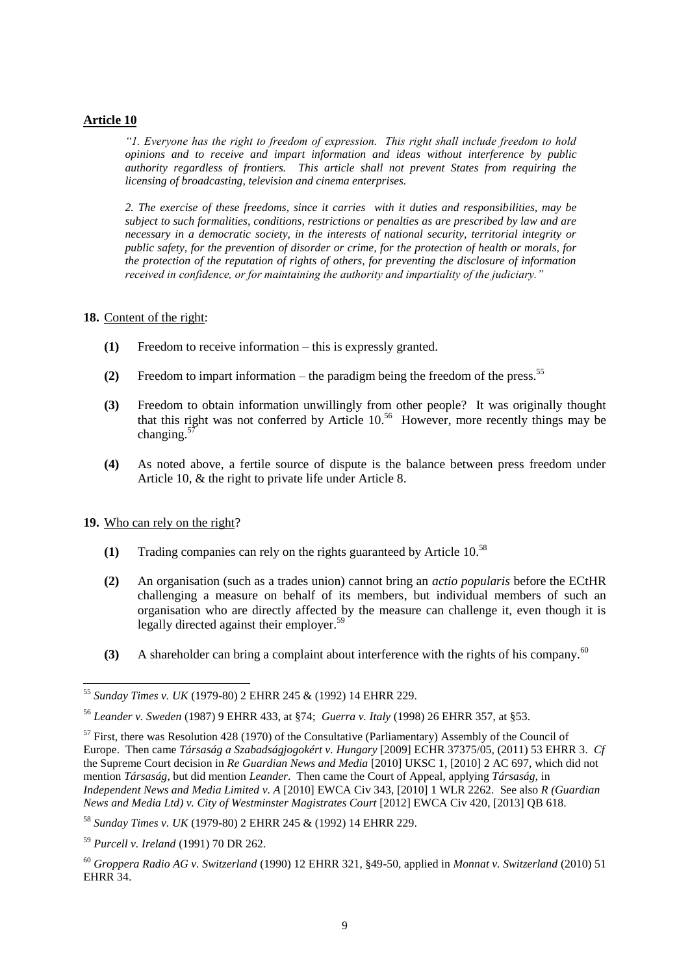#### **Article 10**

*"1. Everyone has the right to freedom of expression. This right shall include freedom to hold opinions and to receive and impart information and ideas without interference by public authority regardless of frontiers. This article shall not prevent States from requiring the licensing of broadcasting, television and cinema enterprises.*

*2. The exercise of these freedoms, since it carries with it duties and responsibilities, may be subject to such formalities, conditions, restrictions or penalties as are prescribed by law and are necessary in a democratic society, in the interests of national security, territorial integrity or public safety, for the prevention of disorder or crime, for the protection of health or morals, for the protection of the reputation of rights of others, for preventing the disclosure of information received in confidence, or for maintaining the authority and impartiality of the judiciary."*

#### **18.** Content of the right:

- **(1)** Freedom to receive information this is expressly granted.
- **(2)** Freedom to impart information the paradigm being the freedom of the press.<sup>55</sup>
- **(3)** Freedom to obtain information unwillingly from other people? It was originally thought that this right was not conferred by Article 10. <sup>56</sup> However, more recently things may be changing. $5$
- **(4)** As noted above, a fertile source of dispute is the balance between press freedom under Article 10, & the right to private life under Article 8.

**19.** Who can rely on the right?

-

- **(1)** Trading companies can rely on the rights guaranteed by Article 10.<sup>58</sup>
- **(2)** An organisation (such as a trades union) cannot bring an *actio popularis* before the ECtHR challenging a measure on behalf of its members, but individual members of such an organisation who are directly affected by the measure can challenge it, even though it is legally directed against their employer.<sup>59</sup>
- **(3)** A shareholder can bring a complaint about interference with the rights of his company.<sup>60</sup>

<sup>55</sup> *Sunday Times v. UK* (1979-80) 2 EHRR 245 & (1992) 14 EHRR 229.

<sup>56</sup> *Leander v. Sweden* (1987) 9 EHRR 433, at §74; *Guerra v. Italy* (1998) 26 EHRR 357, at §53.

 $57$  First, there was Resolution 428 (1970) of the Consultative (Parliamentary) Assembly of the Council of Europe. Then came *Társaság a Szabadságjogokért v. Hungary* [2009] ECHR 37375/05, (2011) 53 EHRR 3. *Cf*  the Supreme Court decision in *Re Guardian News and Media* [2010] UKSC 1, [2010] 2 AC 697, which did not mention *Társaság*, but did mention *Leander*. Then came the Court of Appeal, applying *Társaság*, in *Independent News and Media Limited v. A* [2010] EWCA Civ 343, [2010] 1 WLR 2262. See also *R (Guardian News and Media Ltd) v. City of Westminster Magistrates Court* [2012] EWCA Civ 420, [2013] QB 618.

<sup>58</sup> *Sunday Times v. UK* (1979-80) 2 EHRR 245 & (1992) 14 EHRR 229.

<sup>59</sup> *Purcell v. Ireland* (1991) 70 DR 262.

<sup>60</sup> *Groppera Radio AG v. Switzerland* (1990) 12 EHRR 321, §49-50, applied in *Monnat v. Switzerland* (2010) 51 EHRR 34.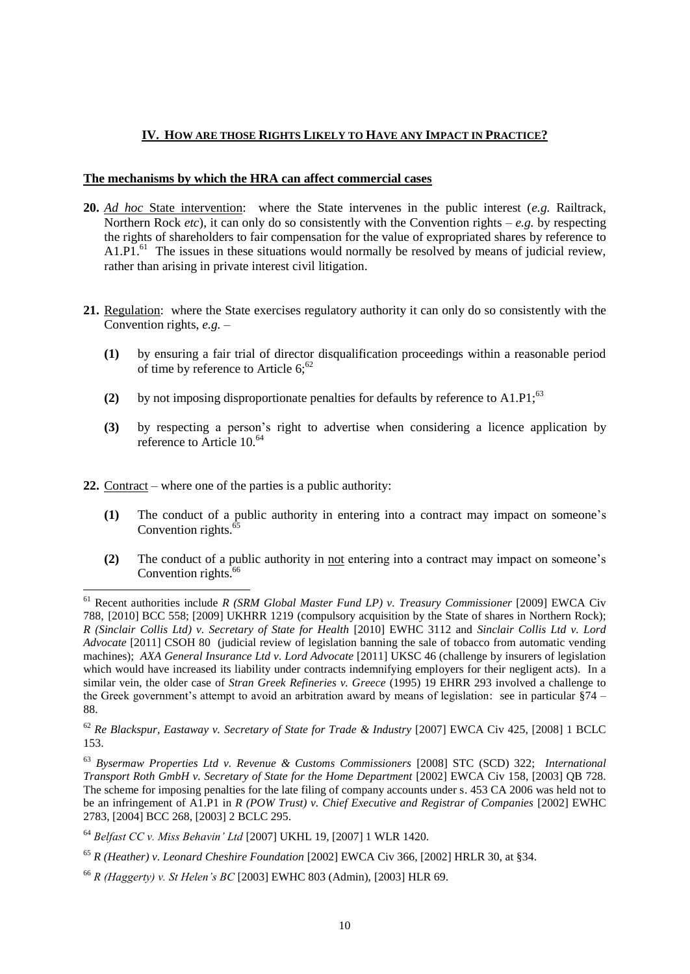# **IV. HOW ARE THOSE RIGHTS LIKELY TO HAVE ANY IMPACT IN PRACTICE?**

### **The mechanisms by which the HRA can affect commercial cases**

- **20.** *Ad hoc* State intervention: where the State intervenes in the public interest (*e.g.* Railtrack, Northern Rock *etc*), it can only do so consistently with the Convention rights – *e.g.* by respecting the rights of shareholders to fair compensation for the value of expropriated shares by reference to A1.P1.<sup>61</sup> The issues in these situations would normally be resolved by means of judicial review, rather than arising in private interest civil litigation.
- **21.** Regulation: where the State exercises regulatory authority it can only do so consistently with the Convention rights, *e.g.* –
	- **(1)** by ensuring a fair trial of director disqualification proceedings within a reasonable period of time by reference to Article  $6$ ;<sup>62</sup>
	- **(2)** by not imposing disproportionate penalties for defaults by reference to A1.P1;<sup>63</sup>
	- **(3)** by respecting a person's right to advertise when considering a licence application by reference to Article 10.<sup>64</sup>
- **22.** Contract where one of the parties is a public authority:
	- **(1)** The conduct of a public authority in entering into a contract may impact on someone's Convention rights.<sup>6</sup>
	- **(2)** The conduct of a public authority in not entering into a contract may impact on someone's Convention rights.<sup>66</sup>

<sup>-</sup><sup>61</sup> Recent authorities include *R (SRM Global Master Fund LP) v. Treasury Commissioner* [2009] EWCA Civ 788, [2010] BCC 558; [2009] UKHRR 1219 (compulsory acquisition by the State of shares in Northern Rock); *R (Sinclair Collis Ltd) v. Secretary of State for Health* [2010] EWHC 3112 and *Sinclair Collis Ltd v. Lord Advocate* [2011] CSOH 80 (judicial review of legislation banning the sale of tobacco from automatic vending machines); *AXA General Insurance Ltd v. Lord Advocate* [2011] UKSC 46 (challenge by insurers of legislation which would have increased its liability under contracts indemnifying employers for their negligent acts). In a similar vein, the older case of *Stran Greek Refineries v. Greece* (1995) 19 EHRR 293 involved a challenge to the Greek government's attempt to avoid an arbitration award by means of legislation: see in particular §74 – 88.

<sup>62</sup> *Re Blackspur, Eastaway v. Secretary of State for Trade & Industry* [2007] EWCA Civ 425, [2008] 1 BCLC 153.

<sup>63</sup> *Bysermaw Properties Ltd v. Revenue & Customs Commissioners* [2008] STC (SCD) 322; *International Transport Roth GmbH v. Secretary of State for the Home Department [2002] EWCA Civ 158, [2003] QB 728.* The scheme for imposing penalties for the late filing of company accounts under s. 453 CA 2006 was held not to be an infringement of A1.P1 in *R (POW Trust) v. Chief Executive and Registrar of Companies* [2002] EWHC 2783, [2004] BCC 268, [2003] 2 BCLC 295.

<sup>64</sup> *Belfast CC v. Miss Behavin' Ltd* [2007] UKHL 19, [2007] 1 WLR 1420.

<sup>65</sup> *R (Heather) v. Leonard Cheshire Foundation* [2002] EWCA Civ 366, [2002] HRLR 30, at §34.

<sup>66</sup> *R (Haggerty) v. St Helen's BC* [2003] EWHC 803 (Admin), [2003] HLR 69.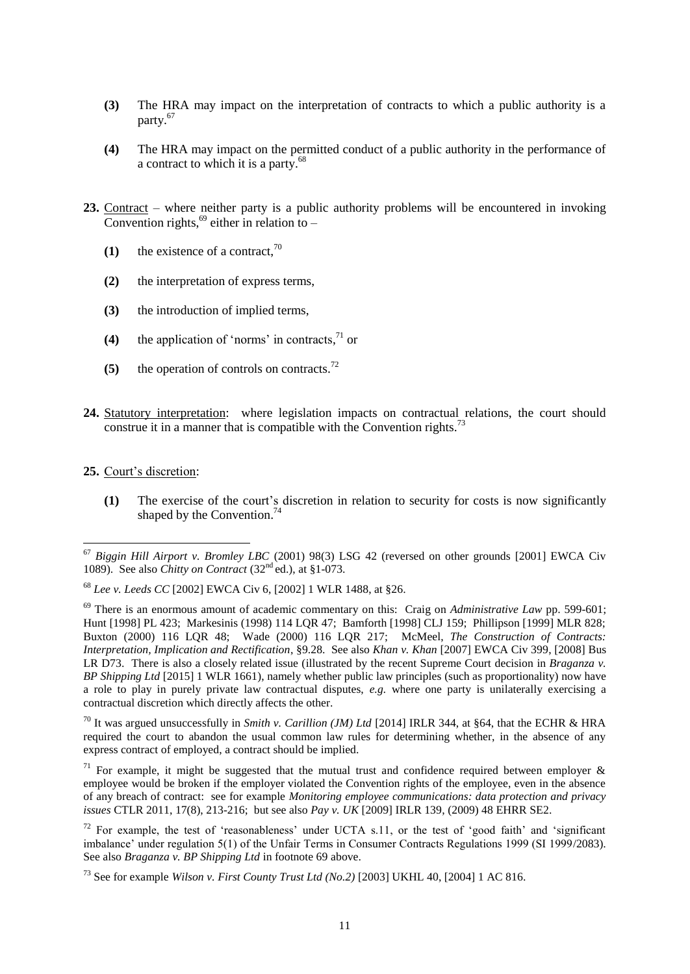- **(3)** The HRA may impact on the interpretation of contracts to which a public authority is a party.<sup>67</sup>
- **(4)** The HRA may impact on the permitted conduct of a public authority in the performance of a contract to which it is a party.<sup>68</sup>
- **23.** Contract where neither party is a public authority problems will be encountered in invoking Convention rights,  $69$  either in relation to -
	- **(1)** the existence of a contract,  $70$
	- **(2)** the interpretation of express terms,
	- **(3)** the introduction of implied terms,
	- **(4)** the application of 'norms' in contracts, <sup>71</sup> or
	- **(5)** the operation of controls on contracts.<sup>72</sup>
- **24.** Statutory interpretation: where legislation impacts on contractual relations, the court should construe it in a manner that is compatible with the Convention rights.<sup>73</sup>
- **25.** Court's discretion:

<u>.</u>

**(1)** The exercise of the court's discretion in relation to security for costs is now significantly shaped by the Convention.<sup>74</sup>

<sup>70</sup> It was argued unsuccessfully in *Smith v. Carillion (JM) Ltd* [2014] IRLR 344, at §64, that the ECHR & HRA required the court to abandon the usual common law rules for determining whether, in the absence of any express contract of employed, a contract should be implied.

<sup>71</sup> For example, it might be suggested that the mutual trust and confidence required between employer  $\&$ employee would be broken if the employer violated the Convention rights of the employee, even in the absence of any breach of contract: see for example *Monitoring employee communications: data protection and privacy issues* CTLR 2011, 17(8), 213-216; but see also *Pay v. UK* [2009] IRLR 139, (2009) 48 EHRR SE2.

<sup>67</sup> *Biggin Hill Airport v. Bromley LBC* (2001) 98(3) LSG 42 (reversed on other grounds [2001] EWCA Civ 1089). See also *Chitty on Contract* (32<sup>nd</sup> ed.), at §1-073.

<sup>68</sup> *Lee v. Leeds CC* [2002] EWCA Civ 6, [2002] 1 WLR 1488, at §26.

<sup>69</sup> There is an enormous amount of academic commentary on this: Craig on *Administrative Law* pp. 599-601; Hunt [1998] PL 423; Markesinis (1998) 114 LQR 47; Bamforth [1998] CLJ 159; Phillipson [1999] MLR 828; Buxton (2000) 116 LQR 48; Wade (2000) 116 LQR 217; McMeel, *The Construction of Contracts: Interpretation, Implication and Rectification*, §9.28. See also *Khan v. Khan* [2007] EWCA Civ 399, [2008] Bus LR D73. There is also a closely related issue (illustrated by the recent Supreme Court decision in *Braganza v. BP Shipping Ltd* [2015] 1 WLR 1661), namely whether public law principles (such as proportionality) now have a role to play in purely private law contractual disputes, *e.g.* where one party is unilaterally exercising a contractual discretion which directly affects the other.

 $72$  For example, the test of 'reasonableness' under UCTA s.11, or the test of 'good faith' and 'significant imbalance' under regulation 5(1) of the Unfair Terms in Consumer Contracts Regulations 1999 (SI 1999/2083). See also *Braganza v. BP Shipping Ltd* in footnote 69 above.

<sup>73</sup> See for example *Wilson v. First County Trust Ltd (No.2)* [2003] UKHL 40, [2004] 1 AC 816.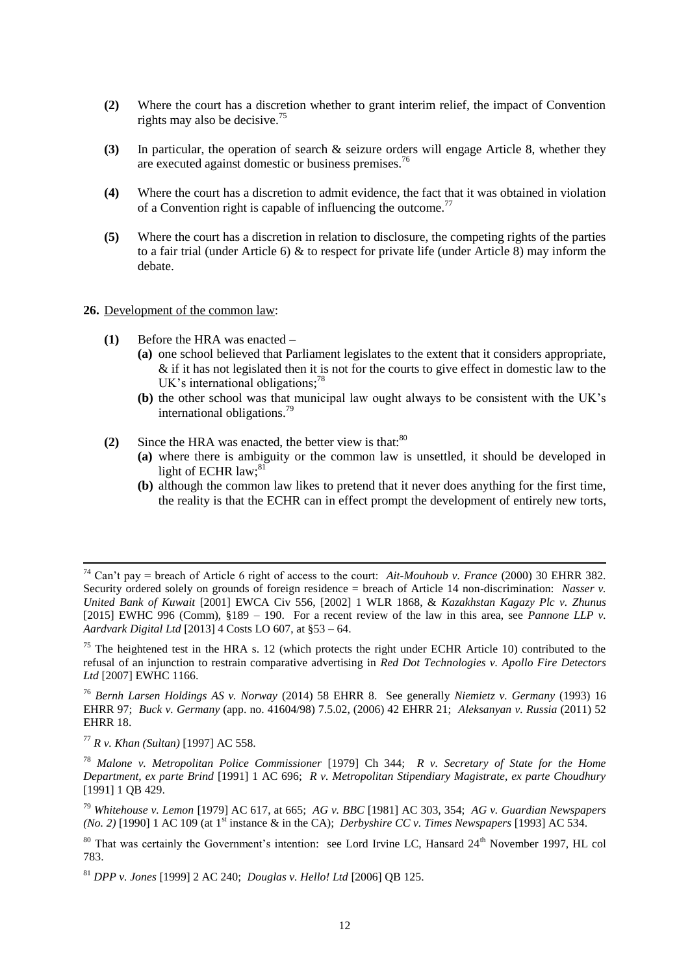- **(2)** Where the court has a discretion whether to grant interim relief, the impact of Convention rights may also be decisive.<sup>75</sup>
- **(3)** In particular, the operation of search & seizure orders will engage Article 8, whether they are executed against domestic or business premises.<sup>76</sup>
- **(4)** Where the court has a discretion to admit evidence, the fact that it was obtained in violation of a Convention right is capable of influencing the outcome.<sup>77</sup>
- **(5)** Where the court has a discretion in relation to disclosure, the competing rights of the parties to a fair trial (under Article 6) & to respect for private life (under Article 8) may inform the debate.

#### **26.** Development of the common law:

- **(1)** Before the HRA was enacted
	- **(a)** one school believed that Parliament legislates to the extent that it considers appropriate, & if it has not legislated then it is not for the courts to give effect in domestic law to the UK's international obligations;<sup>78</sup>
	- **(b)** the other school was that municipal law ought always to be consistent with the UK's international obligations.<sup>79</sup>
- **(2)** Since the HRA was enacted, the better view is that: $80$ 
	- **(a)** where there is ambiguity or the common law is unsettled, it should be developed in light of ECHR law:<sup>81</sup>
	- **(b)** although the common law likes to pretend that it never does anything for the first time, the reality is that the ECHR can in effect prompt the development of entirely new torts,

<sup>74</sup> Can't pay = breach of Article 6 right of access to the court: *Ait-Mouhoub v. France* (2000) 30 EHRR 382. Security ordered solely on grounds of foreign residence = breach of Article 14 non-discrimination: *Nasser v. United Bank of Kuwait* [2001] EWCA Civ 556, [2002] 1 WLR 1868, & *Kazakhstan Kagazy Plc v. Zhunus*  [2015] EWHC 996 (Comm), §189 – 190. For a recent review of the law in this area, see *Pannone LLP v. Aardvark Digital Ltd* [2013] 4 Costs LO 607, at §53 – 64.

 $75$  The heightened test in the HRA s. 12 (which protects the right under ECHR Article 10) contributed to the refusal of an injunction to restrain comparative advertising in *Red Dot Technologies v. Apollo Fire Detectors Ltd* [2007] EWHC 1166.

<sup>76</sup> *Bernh Larsen Holdings AS v. Norway* (2014) 58 EHRR 8. See generally *Niemietz v. Germany* (1993) 16 EHRR 97; *Buck v. Germany* (app. no. 41604/98) 7.5.02, (2006) 42 EHRR 21; *Aleksanyan v. Russia* (2011) 52 EHRR 18.

<sup>77</sup> *R v. Khan (Sultan)* [1997] AC 558.

<sup>78</sup> *Malone v. Metropolitan Police Commissioner* [1979] Ch 344; *R v. Secretary of State for the Home Department, ex parte Brind* [1991] 1 AC 696; *R v. Metropolitan Stipendiary Magistrate, ex parte Choudhury* [1991] 1 QB 429.

<sup>79</sup> *Whitehouse v. Lemon* [1979] AC 617, at 665; *AG v. BBC* [1981] AC 303, 354; *AG v. Guardian Newspapers (No. 2)* [1990] 1 AC 109 (at 1<sup>st</sup> instance & in the CA); *Derbyshire CC v. Times Newspapers* [1993] AC 534.

<sup>&</sup>lt;sup>80</sup> That was certainly the Government's intention: see Lord Irvine LC, Hansard 24<sup>th</sup> November 1997, HL col 783.

<sup>81</sup> *DPP v. Jones* [1999] 2 AC 240; *Douglas v. Hello! Ltd* [2006] QB 125.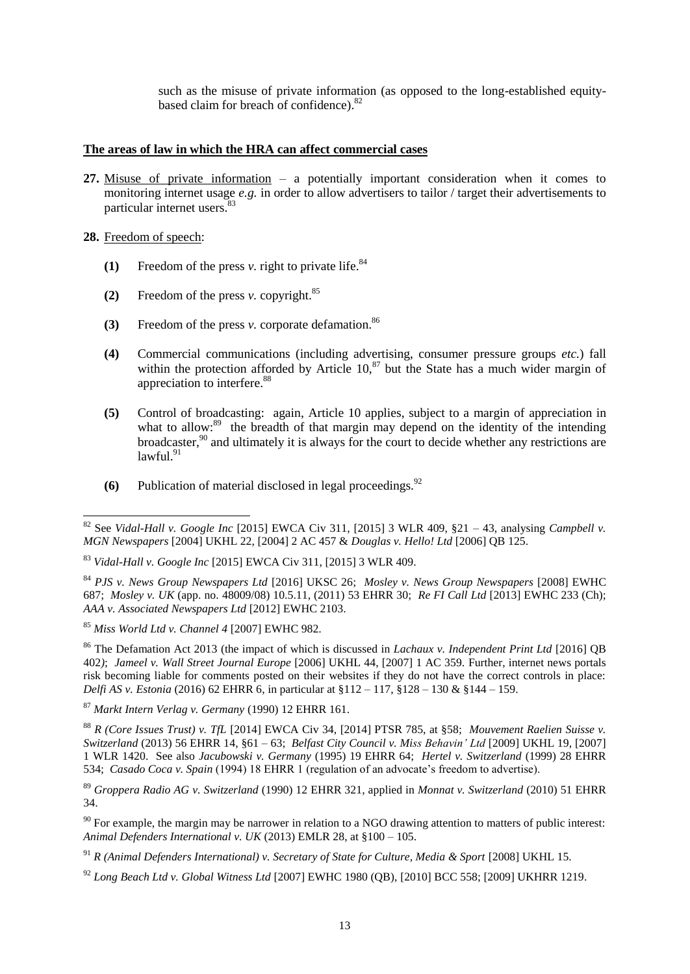such as the misuse of private information (as opposed to the long-established equitybased claim for breach of confidence).<sup>82</sup>

#### **The areas of law in which the HRA can affect commercial cases**

**27.** Misuse of private information – a potentially important consideration when it comes to monitoring internet usage *e.g.* in order to allow advertisers to tailor / target their advertisements to particular internet users.<sup>83</sup>

#### **28.** Freedom of speech:

- **(1)** Freedom of the press *v*. right to private life.<sup>84</sup>
- **(2)** Freedom of the press *v.* copyright.<sup>85</sup>
- **(3)** Freedom of the press *v.* corporate defamation.<sup>86</sup>
- **(4)** Commercial communications (including advertising, consumer pressure groups *etc.*) fall within the protection afforded by Article  $10<sup>87</sup>$  but the State has a much wider margin of appreciation to interfere.<sup>88</sup>
- **(5)** Control of broadcasting: again, Article 10 applies, subject to a margin of appreciation in what to allow:<sup>89</sup> the breadth of that margin may depend on the identity of the intending broadcaster,<sup>90</sup> and ultimately it is always for the court to decide whether any restrictions are  $lawful<sup>91</sup>$
- **(6)** Publication of material disclosed in legal proceedings.<sup>92</sup>

<sup>87</sup> *Markt Intern Verlag v. Germany* (1990) 12 EHRR 161.

<sup>92</sup> *Long Beach Ltd v. Global Witness Ltd* [2007] EWHC 1980 (QB), [2010] BCC 558; [2009] UKHRR 1219.

<sup>&</sup>lt;u>.</u> <sup>82</sup> See *Vidal-Hall v. Google Inc* [2015] EWCA Civ 311, [2015] 3 WLR 409, §21 – 43, analysing *Campbell v. MGN Newspapers* [2004] UKHL 22, [2004] 2 AC 457 & *Douglas v. Hello! Ltd* [2006] QB 125.

<sup>83</sup> *Vidal-Hall v. Google Inc* [2015] EWCA Civ 311, [2015] 3 WLR 409.

<sup>84</sup> *PJS v. News Group Newspapers Ltd* [2016] UKSC 26; *Mosley v. News Group Newspapers* [2008] EWHC 687; *Mosley v. UK* (app. no. 48009/08) 10.5.11, (2011) 53 EHRR 30; *Re FI Call Ltd* [2013] EWHC 233 (Ch); *AAA v. Associated Newspapers Ltd* [2012] EWHC 2103.

<sup>85</sup> *Miss World Ltd v. Channel 4* [2007] EWHC 982.

<sup>86</sup> The Defamation Act 2013 (the impact of which is discussed in *Lachaux v. Independent Print Ltd* [2016] QB 402*)*; *Jameel v. Wall Street Journal Europe* [2006] UKHL 44, [2007] 1 AC 359. Further, internet news portals risk becoming liable for comments posted on their websites if they do not have the correct controls in place: *Delfi AS v. Estonia* (2016) 62 EHRR 6, in particular at §112 – 117, §128 – 130 & §144 – 159.

<sup>88</sup> *R (Core Issues Trust) v. TfL* [2014] EWCA Civ 34, [2014] PTSR 785, at §58; *Mouvement Raelien Suisse v. Switzerland* (2013) 56 EHRR 14, §61 – 63; *Belfast City Council v. Miss Behavin' Ltd* [2009] UKHL 19, [2007] 1 WLR 1420. See also *Jacubowski v. Germany* (1995) 19 EHRR 64; *Hertel v. Switzerland* (1999) 28 EHRR 534; *Casado Coca v. Spain* (1994) 18 EHRR 1 (regulation of an advocate's freedom to advertise).

<sup>89</sup> *Groppera Radio AG v. Switzerland* (1990) 12 EHRR 321, applied in *Monnat v. Switzerland* (2010) 51 EHRR 34.

<sup>&</sup>lt;sup>90</sup> For example, the margin may be narrower in relation to a NGO drawing attention to matters of public interest: *Animal Defenders International v. UK* (2013) EMLR 28, at §100 – 105.

<sup>91</sup> *R (Animal Defenders International) v. Secretary of State for Culture, Media & Sport* [2008] UKHL 15.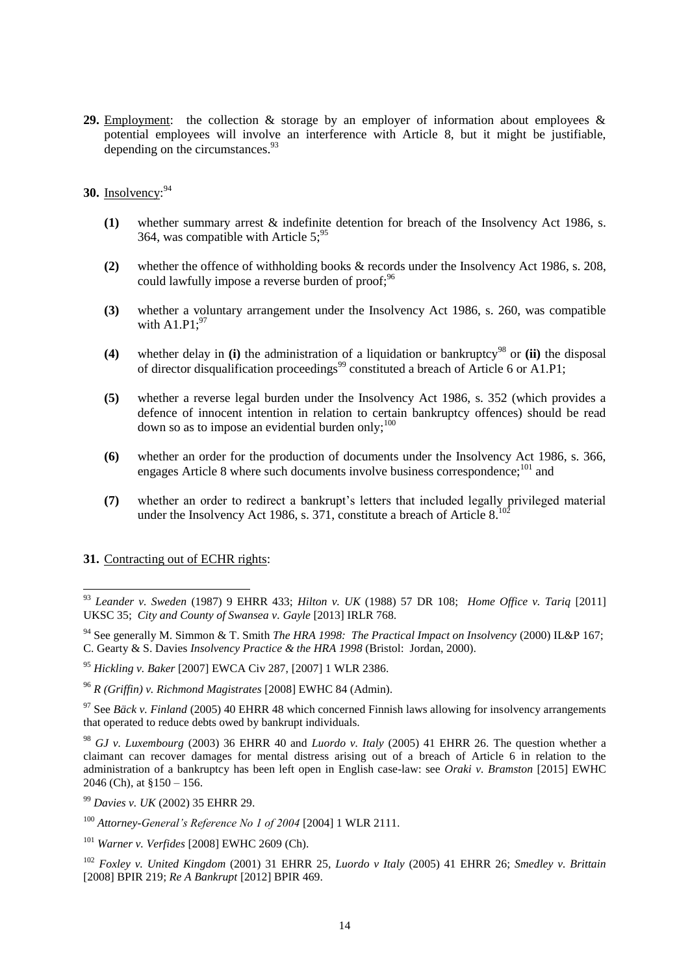29. Employment: the collection & storage by an employer of information about employees & potential employees will involve an interference with Article 8, but it might be justifiable, depending on the circumstances.  $93$ 

### **30.** Insolvency: 94

- **(1)** whether summary arrest & indefinite detention for breach of the Insolvency Act 1986, s. 364, was compatible with Article  $5:95$
- **(2)** whether the offence of withholding books & records under the Insolvency Act 1986, s. 208, could lawfully impose a reverse burden of proof;<sup>96</sup>
- **(3)** whether a voluntary arrangement under the Insolvency Act 1986, s. 260, was compatible with  $A1.P1$ :<sup>97</sup>
- **(4)** whether delay in **(i)** the administration of a liquidation or bankruptcy<sup>98</sup> or **(ii)** the disposal of director disqualification proceedings<sup>99</sup> constituted a breach of Article 6 or A1.P1;
- **(5)** whether a reverse legal burden under the Insolvency Act 1986, s. 352 (which provides a defence of innocent intention in relation to certain bankruptcy offences) should be read down so as to impose an evidential burden only;  $100$
- **(6)** whether an order for the production of documents under the Insolvency Act 1986, s. 366, engages Article 8 where such documents involve business correspondence;  $^{101}$  and
- **(7)** whether an order to redirect a bankrupt's letters that included legally privileged material under the Insolvency Act 1986, s.  $371$ , constitute a breach of Article  $8<sup>10</sup>$

#### **31.** Contracting out of ECHR rights:

<sup>93</sup> *Leander v. Sweden* (1987) 9 EHRR 433; *Hilton v. UK* (1988) 57 DR 108; *Home Office v. Tariq* [2011] UKSC 35; *City and County of Swansea v. Gayle* [2013] IRLR 768.

<sup>94</sup> See generally M. Simmon & T. Smith *The HRA 1998: The Practical Impact on Insolvency* (2000) IL&P 167; C. Gearty & S. Davies *Insolvency Practice & the HRA 1998* (Bristol: Jordan, 2000).

<sup>95</sup> *Hickling v. Baker* [2007] EWCA Civ 287, [2007] 1 WLR 2386.

<sup>96</sup> *R (Griffin) v. Richmond Magistrates* [2008] EWHC 84 (Admin).

<sup>97</sup> See *Bäck v. Finland* (2005) 40 EHRR 48 which concerned Finnish laws allowing for insolvency arrangements that operated to reduce debts owed by bankrupt individuals.

<sup>98</sup> *GJ v. Luxembourg* (2003) 36 EHRR 40 and *Luordo v. Italy* (2005) 41 EHRR 26. The question whether a claimant can recover damages for mental distress arising out of a breach of Article 6 in relation to the administration of a bankruptcy has been left open in English case-law: see *Oraki v. Bramston* [2015] EWHC 2046 (Ch), at  $$150 - 156$ .

<sup>99</sup> *Davies v. UK* (2002) 35 EHRR 29.

<sup>100</sup> *Attorney-General's Reference No 1 of 2004* [2004] 1 WLR 2111.

<sup>101</sup> *Warner v. Verfides* [2008] EWHC 2609 (Ch).

<sup>102</sup> *Foxley v. United Kingdom* (2001) 31 EHRR 25*, Luordo v Italy* (2005) 41 EHRR 26; *Smedley v. Brittain*  [2008] BPIR 219; *Re A Bankrupt* [2012] BPIR 469.